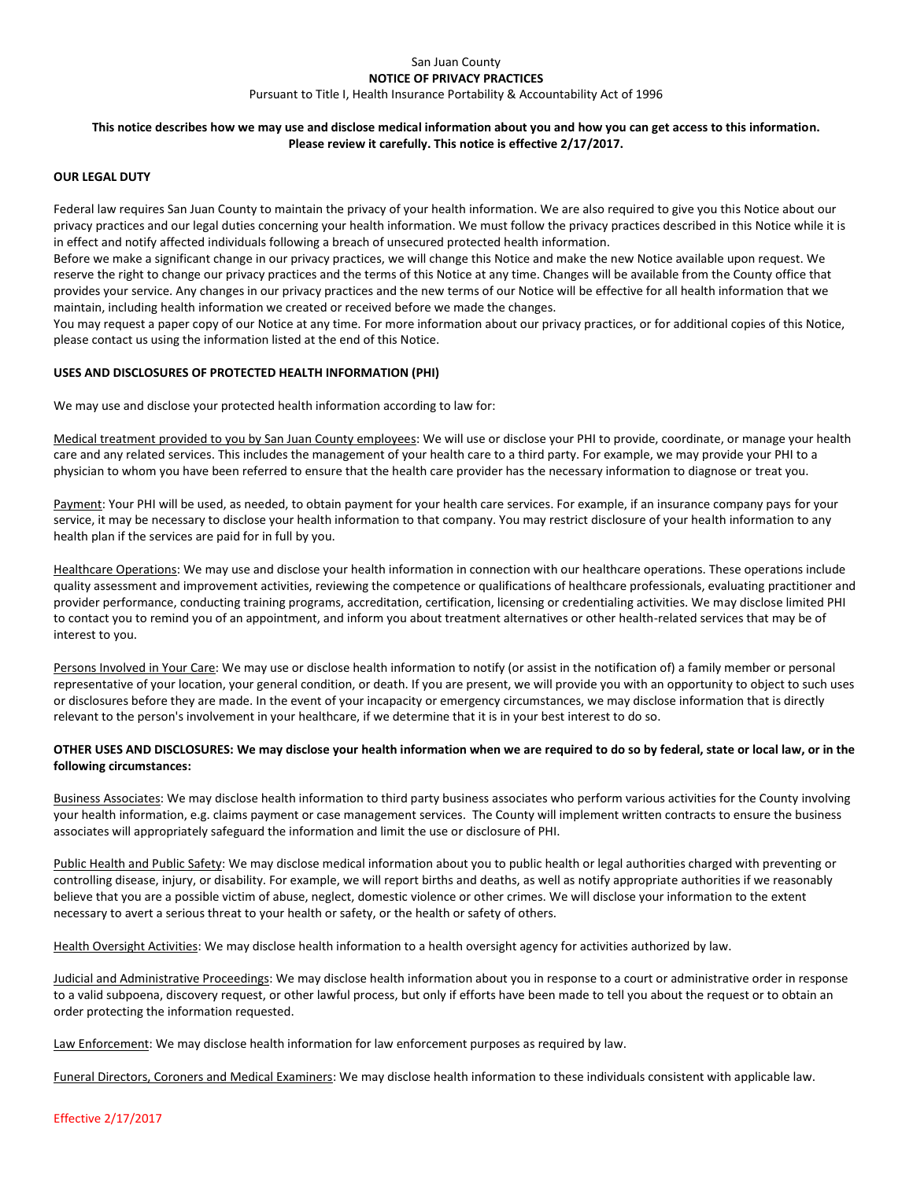### San Juan County **NOTICE OF PRIVACY PRACTICES** Pursuant to Title I, Health Insurance Portability & Accountability Act of 1996

# **This notice describes how we may use and disclose medical information about you and how you can get access to this information. Please review it carefully. This notice is effective 2/17/2017.**

### **OUR LEGAL DUTY**

Federal law requires San Juan County to maintain the privacy of your health information. We are also required to give you this Notice about our privacy practices and our legal duties concerning your health information. We must follow the privacy practices described in this Notice while it is in effect and notify affected individuals following a breach of unsecured protected health information.

Before we make a significant change in our privacy practices, we will change this Notice and make the new Notice available upon request. We reserve the right to change our privacy practices and the terms of this Notice at any time. Changes will be available from the County office that provides your service. Any changes in our privacy practices and the new terms of our Notice will be effective for all health information that we maintain, including health information we created or received before we made the changes.

You may request a paper copy of our Notice at any time. For more information about our privacy practices, or for additional copies of this Notice, please contact us using the information listed at the end of this Notice.

# **USES AND DISCLOSURES OF PROTECTED HEALTH INFORMATION (PHI)**

We may use and disclose your protected health information according to law for:

Medical treatment provided to you by San Juan County employees: We will use or disclose your PHI to provide, coordinate, or manage your health care and any related services. This includes the management of your health care to a third party. For example, we may provide your PHI to a physician to whom you have been referred to ensure that the health care provider has the necessary information to diagnose or treat you.

Payment: Your PHI will be used, as needed, to obtain payment for your health care services. For example, if an insurance company pays for your service, it may be necessary to disclose your health information to that company. You may restrict disclosure of your health information to any health plan if the services are paid for in full by you.

Healthcare Operations: We may use and disclose your health information in connection with our healthcare operations. These operations include quality assessment and improvement activities, reviewing the competence or qualifications of healthcare professionals, evaluating practitioner and provider performance, conducting training programs, accreditation, certification, licensing or credentialing activities. We may disclose limited PHI to contact you to remind you of an appointment, and inform you about treatment alternatives or other health-related services that may be of interest to you.

Persons Involved in Your Care: We may use or disclose health information to notify (or assist in the notification of) a family member or personal representative of your location, your general condition, or death. If you are present, we will provide you with an opportunity to object to such uses or disclosures before they are made. In the event of your incapacity or emergency circumstances, we may disclose information that is directly relevant to the person's involvement in your healthcare, if we determine that it is in your best interest to do so.

# **OTHER USES AND DISCLOSURES: We may disclose your health information when we are required to do so by federal, state or local law, or in the following circumstances:**

Business Associates: We may disclose health information to third party business associates who perform various activities for the County involving your health information, e.g. claims payment or case management services. The County will implement written contracts to ensure the business associates will appropriately safeguard the information and limit the use or disclosure of PHI.

Public Health and Public Safety: We may disclose medical information about you to public health or legal authorities charged with preventing or controlling disease, injury, or disability. For example, we will report births and deaths, as well as notify appropriate authorities if we reasonably believe that you are a possible victim of abuse, neglect, domestic violence or other crimes. We will disclose your information to the extent necessary to avert a serious threat to your health or safety, or the health or safety of others.

Health Oversight Activities: We may disclose health information to a health oversight agency for activities authorized by law.

Judicial and Administrative Proceedings: We may disclose health information about you in response to a court or administrative order in response to a valid subpoena, discovery request, or other lawful process, but only if efforts have been made to tell you about the request or to obtain an order protecting the information requested.

Law Enforcement: We may disclose health information for law enforcement purposes as required by law.

Funeral Directors, Coroners and Medical Examiners: We may disclose health information to these individuals consistent with applicable law.